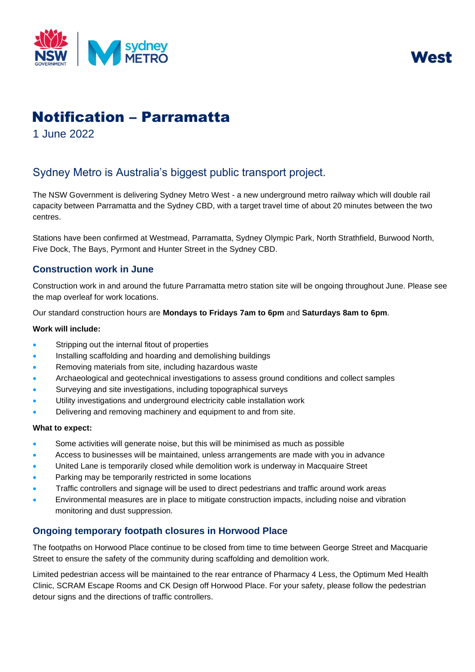



# Notification – Parramatta

1 June 2022

# Sydney Metro is Australia's biggest public transport project.

The NSW Government is delivering Sydney Metro West - a new underground metro railway which will double rail capacity between Parramatta and the Sydney CBD, with a target travel time of about 20 minutes between the two centres.

Stations have been confirmed at Westmead, Parramatta, Sydney Olympic Park, North Strathfield, Burwood North, Five Dock, The Bays, Pyrmont and Hunter Street in the Sydney CBD.

## **Construction work in June**

Construction work in and around the future Parramatta metro station site will be ongoing throughout June. Please see the map overleaf for work locations.

Our standard construction hours are **Mondays to Fridays 7am to 6pm** and **Saturdays 8am to 6pm**.

#### **Work will include:**

- Stripping out the internal fitout of properties
- Installing scaffolding and hoarding and demolishing buildings
- Removing materials from site, including hazardous waste
- Archaeological and geotechnical investigations to assess ground conditions and collect samples
- Surveying and site investigations, including topographical surveys
- Utility investigations and underground electricity cable installation work
- Delivering and removing machinery and equipment to and from site.

#### **What to expect:**

- Some activities will generate noise, but this will be minimised as much as possible
- Access to businesses will be maintained, unless arrangements are made with you in advance
- United Lane is temporarily closed while demolition work is underway in Macquaire Street
- Parking may be temporarily restricted in some locations
- Traffic controllers and signage will be used to direct pedestrians and traffic around work areas
- Environmental measures are in place to mitigate construction impacts, including noise and vibration monitoring and dust suppression.

### **Ongoing temporary footpath closures in Horwood Place**

The footpaths on Horwood Place continue to be closed from time to time between George Street and Macquarie Street to ensure the safety of the community during scaffolding and demolition work.

Limited pedestrian access will be maintained to the rear entrance of Pharmacy 4 Less, the Optimum Med Health Clinic, SCRAM Escape Rooms and CK Design off Horwood Place. For your safety, please follow the pedestrian detour signs and the directions of traffic controllers.